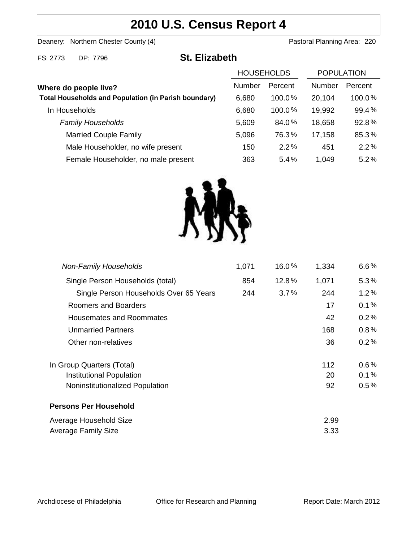# **2010 U.S. Census Report 4**

Deanery: Northern Chester County (4) Deanery: Northern Chester County (4)

FS: 2773 DP: 7796 **St. Elizabeth**

|                                                                                      | <b>HOUSEHOLDS</b> |           | <b>POPULATION</b> |         |
|--------------------------------------------------------------------------------------|-------------------|-----------|-------------------|---------|
| Where do people live?<br><b>Total Households and Population (in Parish boundary)</b> | <b>Number</b>     | Percent   | Number            | Percent |
|                                                                                      | 6,680             | $100.0\%$ | 20,104            | 100.0%  |
| In Households                                                                        | 6,680             | 100.0%    | 19,992            | 99.4%   |
| <b>Family Households</b>                                                             | 5,609             | 84.0%     | 18,658            | 92.8%   |
| <b>Married Couple Family</b>                                                         | 5,096             | 76.3%     | 17,158            | 85.3%   |
| Male Householder, no wife present                                                    | 150               | 2.2%      | 451               | 2.2%    |
| Female Householder, no male present                                                  | 363               | 5.4%      | 1.049             | 5.2%    |



| <b>Non-Family Households</b>           | 1,071 | 16.0%   | 1,334 | $6.6\%$ |
|----------------------------------------|-------|---------|-------|---------|
| Single Person Households (total)       | 854   | 12.8%   | 1,071 | $5.3\%$ |
| Single Person Households Over 65 Years | 244   | $3.7\%$ | 244   | $1.2\%$ |
| Roomers and Boarders                   |       |         | 17    | 0.1%    |
| Housemates and Roommates               |       |         | 42    | 0.2%    |
| <b>Unmarried Partners</b>              |       |         | 168   | $0.8\%$ |
| Other non-relatives                    |       |         | 36    | 0.2%    |
|                                        |       |         |       |         |
| In Group Quarters (Total)              |       |         | 112   | $0.6\%$ |
| Institutional Population               |       |         | 20    | 0.1%    |
| Noninstitutionalized Population        |       |         | 92    | $0.5\%$ |
| <b>Persons Per Household</b>           |       |         |       |         |
| Average Household Size                 |       |         | 2.99  |         |
| Average Family Size                    |       |         | 3.33  |         |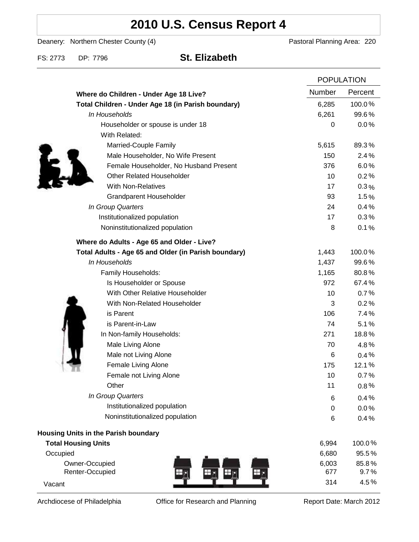# **2010 U.S. Census Report 4**

Deanery: Northern Chester County (4) Deanery: Northern Chester County (4)

FS: 2773 DP: 7796 **St. Elizabeth**

|                                                      |        | <b>POPULATION</b> |  |
|------------------------------------------------------|--------|-------------------|--|
| Where do Children - Under Age 18 Live?               | Number | Percent           |  |
| Total Children - Under Age 18 (in Parish boundary)   | 6,285  | 100.0%            |  |
| In Households                                        | 6,261  | 99.6%             |  |
| Householder or spouse is under 18                    | 0      | 0.0%              |  |
| With Related:                                        |        |                   |  |
| Married-Couple Family                                | 5,615  | 89.3%             |  |
| Male Householder, No Wife Present                    | 150    | 2.4%              |  |
| Female Householder, No Husband Present               | 376    | 6.0%              |  |
| <b>Other Related Householder</b>                     | 10     | 0.2%              |  |
| <b>With Non-Relatives</b>                            | 17     | $0.3\%$           |  |
| <b>Grandparent Householder</b>                       | 93     | 1.5%              |  |
| In Group Quarters                                    | 24     | 0.4%              |  |
| Institutionalized population                         | 17     | 0.3%              |  |
| Noninstitutionalized population                      | 8      | 0.1%              |  |
| Where do Adults - Age 65 and Older - Live?           |        |                   |  |
| Total Adults - Age 65 and Older (in Parish boundary) | 1,443  | 100.0%            |  |
| In Households                                        | 1,437  | 99.6%             |  |
| Family Households:                                   | 1,165  | 80.8%             |  |
| Is Householder or Spouse                             | 972    | 67.4%             |  |
| With Other Relative Householder                      | 10     | 0.7%              |  |
| With Non-Related Householder                         | 3      | 0.2%              |  |
| is Parent                                            | 106    | 7.4%              |  |
| is Parent-in-Law                                     | 74     | 5.1%              |  |
| In Non-family Households:                            | 271    | 18.8%             |  |
| Male Living Alone                                    | 70     | 4.8%              |  |
| Male not Living Alone                                | 6      | $0.4\%$           |  |
| Female Living Alone                                  | 175    | 12.1%             |  |
| Female not Living Alone                              | 10     | 0.7%              |  |
| Other                                                | 11     | 0.8%              |  |
| In Group Quarters                                    | 6      | 0.4%              |  |
| Institutionalized population                         | 0      | 0.0%              |  |
| Noninstitutionalized population                      | 6      | 0.4%              |  |
| Housing Units in the Parish boundary                 |        |                   |  |
| <b>Total Housing Units</b>                           | 6,994  | 100.0%            |  |
| Occupied                                             | 6,680  | 95.5%             |  |
| Owner-Occupied                                       | 6,003  | 85.8%             |  |
| Renter-Occupied                                      | 677    | 9.7%              |  |
| Vacant                                               | 314    | 4.5%              |  |

Archdiocese of Philadelphia **Office for Research and Planning** Report Date: March 2012